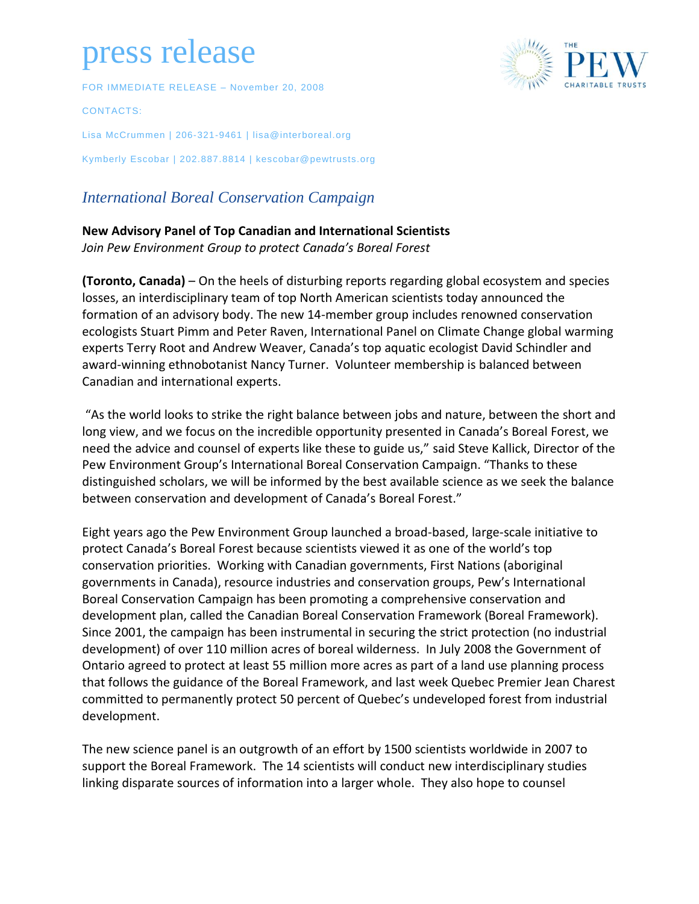## press release

FOR IMMEDIATE RELEASE – November 20, 2008

CONTACTS:

Lisa McCrummen | 206-321-9461 | lisa@interboreal.org Kymberly Escobar | 202.887.8814 | kescobar@pewtrusts.org

## *International Boreal Conservation Campaign*

## **New Advisory Panel of Top Canadian and International Scientists**

*Join Pew Environment Group to protect Canada's Boreal Forest*

**(Toronto, Canada)** – On the heels of disturbing reports regarding global ecosystem and species losses, an interdisciplinary team of top North American scientists today announced the formation of an advisory body. The new 14-member group includes renowned conservation ecologists Stuart Pimm and Peter Raven, International Panel on Climate Change global warming experts Terry Root and Andrew Weaver, Canada's top aquatic ecologist David Schindler and award-winning ethnobotanist Nancy Turner. Volunteer membership is balanced between Canadian and international experts.

"As the world looks to strike the right balance between jobs and nature, between the short and long view, and we focus on the incredible opportunity presented in Canada's Boreal Forest, we need the advice and counsel of experts like these to guide us," said Steve Kallick, Director of the Pew Environment Group's International Boreal Conservation Campaign. "Thanks to these distinguished scholars, we will be informed by the best available science as we seek the balance between conservation and development of Canada's Boreal Forest."

Eight years ago the Pew Environment Group launched a broad-based, large-scale initiative to protect Canada's Boreal Forest because scientists viewed it as one of the world's top conservation priorities. Working with Canadian governments, First Nations (aboriginal governments in Canada), resource industries and conservation groups, Pew's International Boreal Conservation Campaign has been promoting a comprehensive conservation and development plan, called the Canadian Boreal Conservation Framework (Boreal Framework). Since 2001, the campaign has been instrumental in securing the strict protection (no industrial development) of over 110 million acres of boreal wilderness. In July 2008 the Government of Ontario agreed to protect at least 55 million more acres as part of a land use planning process that follows the guidance of the Boreal Framework, and last week Quebec Premier Jean Charest committed to permanently protect 50 percent of Quebec's undeveloped forest from industrial development.

The new science panel is an outgrowth of an effort by 1500 scientists worldwide in 2007 to support the Boreal Framework. The 14 scientists will conduct new interdisciplinary studies linking disparate sources of information into a larger whole. They also hope to counsel